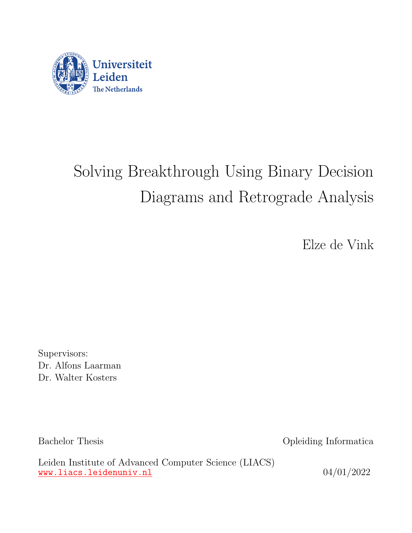

# Solving Breakthrough Using Binary Decision Diagrams and Retrograde Analysis

Elze de Vink

Supervisors: Dr. Alfons Laarman Dr. Walter Kosters

Bachelor Thesis Opleiding Informatica

Leiden Institute of Advanced Computer Science (LIACS) <www.liacs.leidenuniv.nl>  $04/01/2022$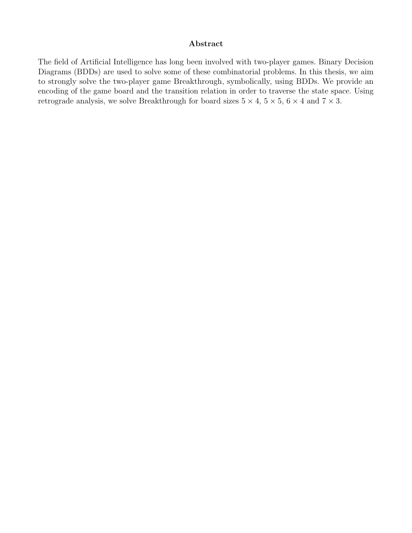#### Abstract

The field of Artificial Intelligence has long been involved with two-player games. Binary Decision Diagrams (BDDs) are used to solve some of these combinatorial problems. In this thesis, we aim to strongly solve the two-player game Breakthrough, symbolically, using BDDs. We provide an encoding of the game board and the transition relation in order to traverse the state space. Using retrograde analysis, we solve Breakthrough for board sizes  $5 \times 4$ ,  $5 \times 5$ ,  $6 \times 4$  and  $7 \times 3$ .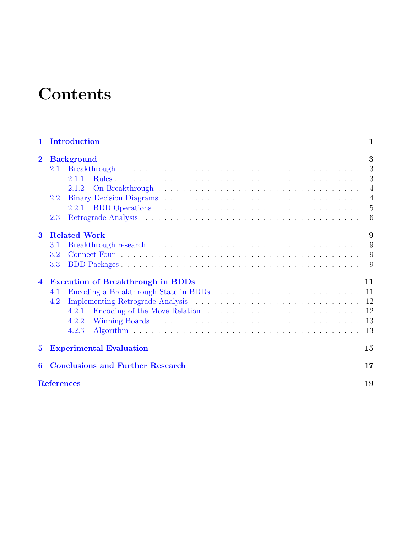# **Contents**

| $\mathbf 1$             | Introduction                             | $\mathbf 1$    |  |  |  |  |  |
|-------------------------|------------------------------------------|----------------|--|--|--|--|--|
| $\overline{2}$          | <b>Background</b>                        | 3              |  |  |  |  |  |
|                         | 2.1                                      |                |  |  |  |  |  |
|                         | 2.1.1                                    |                |  |  |  |  |  |
|                         | 2.1.2                                    |                |  |  |  |  |  |
|                         | 2.2                                      | $\overline{4}$ |  |  |  |  |  |
|                         |                                          | $-5$           |  |  |  |  |  |
|                         | 2.3                                      |                |  |  |  |  |  |
| $\overline{\mathbf{3}}$ | <b>Related Work</b>                      | 9              |  |  |  |  |  |
|                         | 3.1                                      | 9              |  |  |  |  |  |
|                         | 3.2                                      |                |  |  |  |  |  |
|                         | 3.3                                      |                |  |  |  |  |  |
| $\overline{\mathbf{4}}$ | <b>Execution of Breakthrough in BDDs</b> | 11             |  |  |  |  |  |
|                         | 4.1                                      |                |  |  |  |  |  |
|                         | 4.2                                      |                |  |  |  |  |  |
|                         | 4.2.1                                    |                |  |  |  |  |  |
|                         | 4.2.2                                    |                |  |  |  |  |  |
|                         | 4.2.3                                    |                |  |  |  |  |  |
| $\bf{5}$                | <b>Experimental Evaluation</b>           | 15             |  |  |  |  |  |
| 6                       | <b>Conclusions and Further Research</b>  |                |  |  |  |  |  |
|                         | <b>References</b>                        |                |  |  |  |  |  |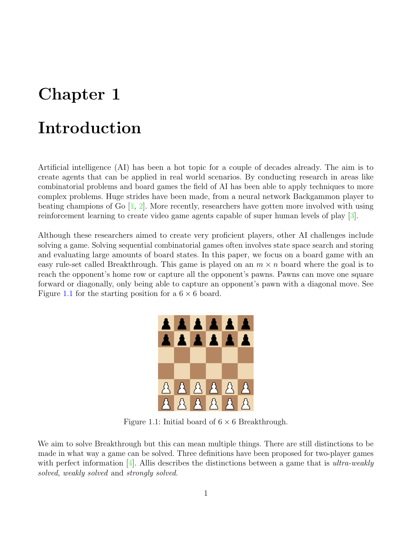## <span id="page-3-0"></span>Introduction

Artificial intelligence (AI) has been a hot topic for a couple of decades already. The aim is to create agents that can be applied in real world scenarios. By conducting research in areas like combinatorial problems and board games the field of AI has been able to apply techniques to more complex problems. Huge strides have been made, from a neural network Backgammon player to beating champions of Go  $[1, 2]$  $[1, 2]$  $[1, 2]$ . More recently, researchers have gotten more involved with using reinforcement learning to create video game agents capable of super human levels of play [\[3\]](#page-20-3).

<span id="page-3-1"></span>Although these researchers aimed to create very proficient players, other AI challenges include solving a game. Solving sequential combinatorial games often involves state space search and storing and evaluating large amounts of board states. In this paper, we focus on a board game with an easy rule-set called Breakthrough. This game is played on an  $m \times n$  board where the goal is to reach the opponent's home row or capture all the opponent's pawns. Pawns can move one square forward or diagonally, only being able to capture an opponent's pawn with a diagonal move. See Figure [1.1](#page-3-1) for the starting position for a  $6 \times 6$  board.



Figure 1.1: Initial board of  $6 \times 6$  Breakthrough.

We aim to solve Breakthrough but this can mean multiple things. There are still distinctions to be made in what way a game can be solved. Three definitions have been proposed for two-player games with perfect information [\[4\]](#page-20-4). Allis describes the distinctions between a game that is *ultra-weakly* solved, weakly solved and strongly solved.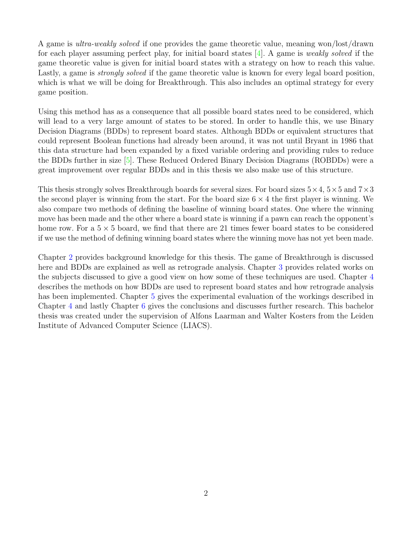A game is ultra-weakly solved if one provides the game theoretic value, meaning won/lost/drawn for each player assuming perfect play, for initial board states  $[4]$ . A game is *weakly solved* if the game theoretic value is given for initial board states with a strategy on how to reach this value. Lastly, a game is *strongly solved* if the game theoretic value is known for every legal board position, which is what we will be doing for Breakthrough. This also includes an optimal strategy for every game position.

Using this method has as a consequence that all possible board states need to be considered, which will lead to a very large amount of states to be stored. In order to handle this, we use Binary Decision Diagrams (BDDs) to represent board states. Although BDDs or equivalent structures that could represent Boolean functions had already been around, it was not until Bryant in 1986 that this data structure had been expanded by a fixed variable ordering and providing rules to reduce the BDDs further in size [\[5\]](#page-20-5). These Reduced Ordered Binary Decision Diagrams (ROBDDs) were a great improvement over regular BDDs and in this thesis we also make use of this structure.

This thesis strongly solves Breakthrough boards for several sizes. For board sizes  $5 \times 4$ ,  $5 \times 5$  and  $7 \times 3$ the second player is winning from the start. For the board size  $6 \times 4$  the first player is winning. We also compare two methods of defining the baseline of winning board states. One where the winning move has been made and the other where a board state is winning if a pawn can reach the opponent's home row. For a  $5 \times 5$  board, we find that there are 21 times fewer board states to be considered if we use the method of defining winning board states where the winning move has not yet been made.

Chapter [2](#page-5-0) provides background knowledge for this thesis. The game of Breakthrough is discussed here and BDDs are explained as well as retrograde analysis. Chapter [3](#page-11-0) provides related works on the subjects discussed to give a good view on how some of these techniques are used. Chapter [4](#page-13-0) describes the methods on how BDDs are used to represent board states and how retrograde analysis has been implemented. Chapter [5](#page-17-0) gives the experimental evaluation of the workings described in Chapter [4](#page-13-0) and lastly Chapter [6](#page-19-0) gives the conclusions and discusses further research. This bachelor thesis was created under the supervision of Alfons Laarman and Walter Kosters from the Leiden Institute of Advanced Computer Science (LIACS).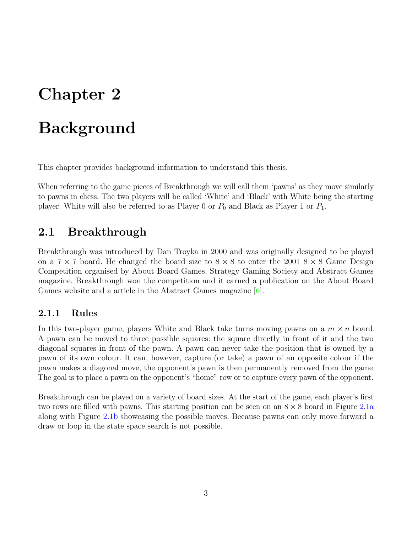# <span id="page-5-0"></span>Background

This chapter provides background information to understand this thesis.

When referring to the game pieces of Breakthrough we will call them 'pawns' as they move similarly to pawns in chess. The two players will be called 'White' and 'Black' with White being the starting player. White will also be referred to as Player 0 or  $P_0$  and Black as Player 1 or  $P_1$ .

#### <span id="page-5-1"></span>2.1 Breakthrough

Breakthrough was introduced by Dan Troyka in 2000 and was originally designed to be played on a  $7 \times 7$  board. He changed the board size to  $8 \times 8$  to enter the 2001  $8 \times 8$  Game Design Competition organised by About Board Games, Strategy Gaming Society and Abstract Games magazine. Breakthrough won the competition and it earned a publication on the About Board Games website and a article in the Abstract Games magazine [\[6\]](#page-20-6).

#### <span id="page-5-2"></span>2.1.1 Rules

In this two-player game, players White and Black take turns moving pawns on a  $m \times n$  board. A pawn can be moved to three possible squares: the square directly in front of it and the two diagonal squares in front of the pawn. A pawn can never take the position that is owned by a pawn of its own colour. It can, however, capture (or take) a pawn of an opposite colour if the pawn makes a diagonal move, the opponent's pawn is then permanently removed from the game. The goal is to place a pawn on the opponent's "home" row or to capture every pawn of the opponent.

Breakthrough can be played on a variety of board sizes. At the start of the game, each player's first two rows are filled with pawns. This starting position can be seen on an  $8 \times 8$  board in Figure [2.1a](#page-6-2) along with Figure [2.1b](#page-6-2) showcasing the possible moves. Because pawns can only move forward a draw or loop in the state space search is not possible.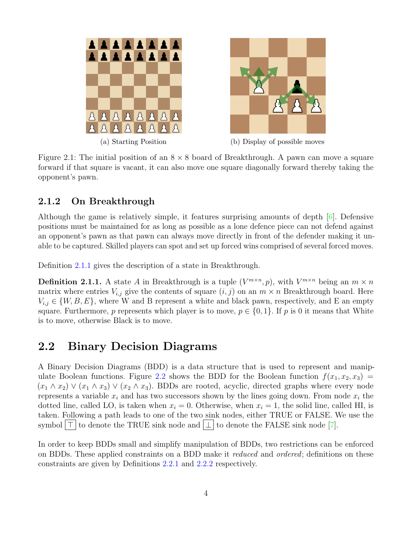<span id="page-6-2"></span>



(a) Starting Position (b) Display of possible moves

Figure 2.1: The initial position of an  $8 \times 8$  board of Breakthrough. A pawn can move a square forward if that square is vacant, it can also move one square diagonally forward thereby taking the opponent's pawn.

#### <span id="page-6-0"></span>2.1.2 On Breakthrough

Although the game is relatively simple, it features surprising amounts of depth  $[6]$ . Defensive positions must be maintained for as long as possible as a lone defence piece can not defend against an opponent's pawn as that pawn can always move directly in front of the defender making it unable to be captured. Skilled players can spot and set up forced wins comprised of several forced moves.

Definition [2.1.1](#page-6-3) gives the description of a state in Breakthrough.

<span id="page-6-3"></span>**Definition 2.1.1.** A state A in Breakthrough is a tuple  $(V^{m \times n}, p)$ , with  $V^{m \times n}$  being an  $m \times n$ matrix where entries  $V_{i,j}$  give the contents of square  $(i, j)$  on an  $m \times n$  Breakthrough board. Here  $V_{i,j} \in \{W, B, E\}$ , where W and B represent a white and black pawn, respectively, and E an empty square. Furthermore, p represents which player is to move,  $p \in \{0, 1\}$ . If p is 0 it means that White is to move, otherwise Black is to move.

#### <span id="page-6-1"></span>2.2 Binary Decision Diagrams

A Binary Decision Diagrams (BDD) is a data structure that is used to represent and manip-ulate Boolean functions. Figure [2.2](#page-7-1) shows the BDD for the Boolean function  $f(x_1, x_2, x_3)$  =  $(x_1 \wedge x_2) \vee (x_1 \wedge x_3) \vee (x_2 \wedge x_3)$ . BDDs are rooted, acyclic, directed graphs where every node represents a variable  $x_i$  and has two successors shown by the lines going down. From node  $x_i$  the dotted line, called LO, is taken when  $x_i = 0$ . Otherwise, when  $x_i = 1$ , the solid line, called HI, is taken. Following a path leads to one of the two sink nodes, either TRUE or FALSE. We use the symbol  $\vert \top \vert$  to denote the TRUE sink node and  $\vert \bot \vert$  to denote the FALSE sink node [\[7\]](#page-20-7).

In order to keep BDDs small and simplify manipulation of BDDs, two restrictions can be enforced on BDDs. These applied constraints on a BDD make it *reduced* and *ordered*; definitions on these constraints are given by Definitions [2.2.1](#page-7-2) and [2.2.2](#page-7-3) respectively.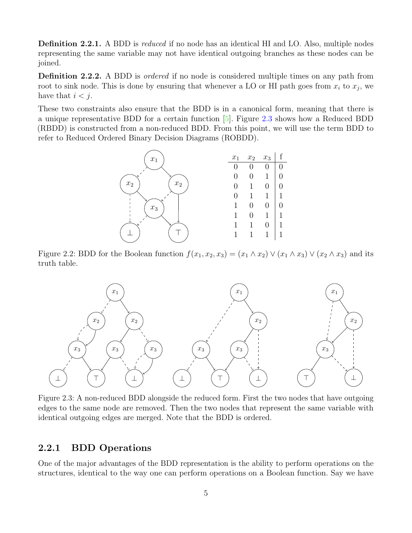<span id="page-7-2"></span>Definition 2.2.1. A BDD is *reduced* if no node has an identical HI and LO. Also, multiple nodes representing the same variable may not have identical outgoing branches as these nodes can be joined.

<span id="page-7-3"></span>**Definition 2.2.2.** A BDD is *ordered* if no node is considered multiple times on any path from root to sink node. This is done by ensuring that whenever a LO or HI path goes from  $x_i$  to  $x_j$ , we have that  $i < j$ .

<span id="page-7-1"></span>These two constraints also ensure that the BDD is in a canonical form, meaning that there is a unique representative BDD for a certain function [\[5\]](#page-20-5). Figure [2.3](#page-7-4) shows how a Reduced BDD (RBDD) is constructed from a non-reduced BDD. From this point, we will use the term BDD to refer to Reduced Ordered Binary Decision Diagrams (ROBDD).



Figure 2.2: BDD for the Boolean function  $f(x_1, x_2, x_3) = (x_1 \wedge x_2) \vee (x_1 \wedge x_3) \vee (x_2 \wedge x_3)$  and its truth table.

<span id="page-7-4"></span>

Figure 2.3: A non-reduced BDD alongside the reduced form. First the two nodes that have outgoing edges to the same node are removed. Then the two nodes that represent the same variable with identical outgoing edges are merged. Note that the BDD is ordered.

#### <span id="page-7-0"></span>2.2.1 BDD Operations

One of the major advantages of the BDD representation is the ability to perform operations on the structures, identical to the way one can perform operations on a Boolean function. Say we have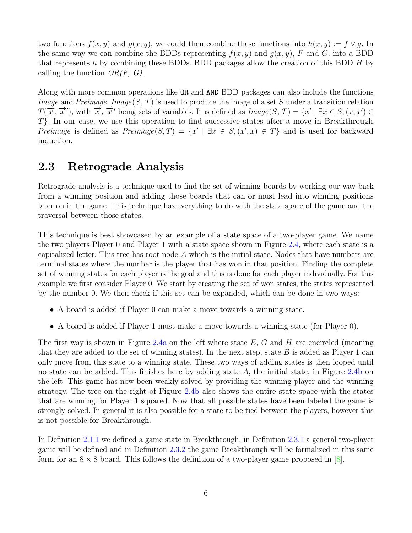two functions  $f(x, y)$  and  $g(x, y)$ , we could then combine these functions into  $h(x, y) := f \vee g$ . In the same way we can combine the BDDs representing  $f(x, y)$  and  $g(x, y)$ , F and G, into a BDD that represents h by combining these BDDs. BDD packages allow the creation of this BDD  $H$  by calling the function  $OR(F, G)$ .

Along with more common operations like OR and AND BDD packages can also include the functions *Image* and *Preimage. Image*(S, T) is used to produce the image of a set S under a transition relation  $T(\vec{x}, \vec{x}')$ , with  $\vec{x}, \vec{x}'$  being sets of variables. It is defined as  $Image(S, T) = \{x' \mid \exists x \in S, (x, x') \in S, (x, x')\}$ T}. In our case, we use this operation to find successive states after a move in Breakthrough. Preimage is defined as  $Preimage(S, T) = \{x' \mid \exists x \in S, (x', x) \in T\}$  and is used for backward induction.

#### <span id="page-8-0"></span>2.3 Retrograde Analysis

Retrograde analysis is a technique used to find the set of winning boards by working our way back from a winning position and adding those boards that can or must lead into winning positions later on in the game. This technique has everything to do with the state space of the game and the traversal between those states.

This technique is best showcased by an example of a state space of a two-player game. We name the two players Player 0 and Player 1 with a state space shown in Figure [2.4,](#page-9-0) where each state is a capitalized letter. This tree has root node A which is the initial state. Nodes that have numbers are terminal states where the number is the player that has won in that position. Finding the complete set of winning states for each player is the goal and this is done for each player individually. For this example we first consider Player 0. We start by creating the set of won states, the states represented by the number 0. We then check if this set can be expanded, which can be done in two ways:

- A board is added if Player 0 can make a move towards a winning state.
- A board is added if Player 1 must make a move towards a winning state (for Player 0).

The first way is shown in Figure [2.4a](#page-9-0) on the left where state  $E$ , G and H are encircled (meaning that they are added to the set of winning states). In the next step, state  $B$  is added as Player 1 can only move from this state to a winning state. These two ways of adding states is then looped until no state can be added. This finishes here by adding state  $A$ , the initial state, in Figure [2.4b](#page-9-0) on the left. This game has now been weakly solved by providing the winning player and the winning strategy. The tree on the right of Figure [2.4b](#page-9-0) also shows the entire state space with the states that are winning for Player 1 squared. Now that all possible states have been labeled the game is strongly solved. In general it is also possible for a state to be tied between the players, however this is not possible for Breakthrough.

In Definition [2.1.1](#page-6-3) we defined a game state in Breakthrough, in Definition [2.3.1](#page-9-1) a general two-player game will be defined and in Definition [2.3.2](#page-9-2) the game Breakthrough will be formalized in this same form for an  $8 \times 8$  board. This follows the definition of a two-player game proposed in [\[8\]](#page-20-8).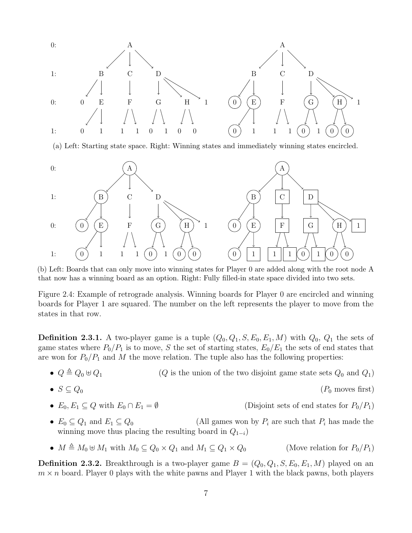<span id="page-9-0"></span>

(a) Left: Starting state space. Right: Winning states and immediately winning states encircled.



(b) Left: Boards that can only move into winning states for Player 0 are added along with the root node A that now has a winning board as an option. Right: Fully filled-in state space divided into two sets.

Figure 2.4: Example of retrograde analysis. Winning boards for Player 0 are encircled and winning boards for Player 1 are squared. The number on the left represents the player to move from the states in that row.

<span id="page-9-1"></span>**Definition 2.3.1.** A two-player game is a tuple  $(Q_0, Q_1, S, E_0, E_1, M)$  with  $Q_0, Q_1$  the sets of game states where  $P_0/P_1$  is to move, S the set of starting states,  $E_0/E_1$  the sets of end states that are won for  $P_0/P_1$  and M the move relation. The tuple also has the following properties:

•  $Q \triangleq Q_0 \oplus Q_1$  (*Q* is the union of the two disjoint game state sets  $Q_0$  and  $Q_1$ )

• 
$$
S \subseteq Q_0 \tag{P_0 \text{ moves first}}
$$

- $E_0, E_1 \subseteq Q$  with  $E_0 \cap E_1 = \emptyset$  (Disjoint sets of end states for  $P_0/P_1$ )
- $E_0 \subseteq Q_1$  and  $E_1 \subseteq Q_0$  (All games won by  $P_i$  are such that  $P_i$  has made the winning move thus placing the resulting board in  $Q_{1-i}$ )
- $M \triangleq M_0 \oplus M_1$  with  $M_0 \subseteq Q_0 \times Q_1$  and  $M_1 \subseteq Q_1 \times Q_0$  (Move relation for  $P_0/P_1$ )

<span id="page-9-2"></span>**Definition 2.3.2.** Breakthrough is a two-player game  $B = (Q_0, Q_1, S, E_0, E_1, M)$  played on an  $m \times n$  board. Player 0 plays with the white pawns and Player 1 with the black pawns, both players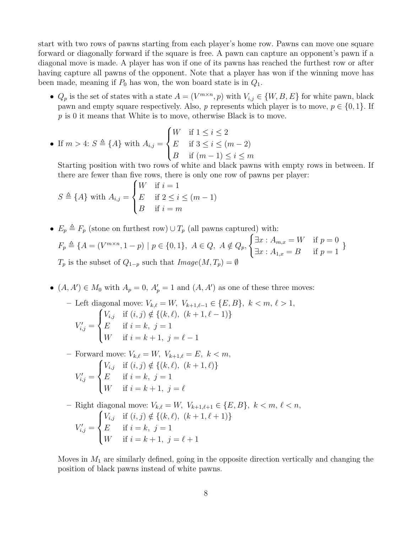start with two rows of pawns starting from each player's home row. Pawns can move one square forward or diagonally forward if the square is free. A pawn can capture an opponent's pawn if a diagonal move is made. A player has won if one of its pawns has reached the furthest row or after having capture all pawns of the opponent. Note that a player has won if the winning move has been made, meaning if  $P_0$  has won, the won board state is in  $Q_1$ .

•  $Q_p$  is the set of states with a state  $A = (V^{m \times n}, p)$  with  $V_{i,j} \in \{W, B, E\}$  for white pawn, black pawn and empty square respectively. Also, p represents which player is to move,  $p \in \{0, 1\}$ . If p is 0 it means that White is to move, otherwise Black is to move.

• If 
$$
m > 4
$$
:  $S \triangleq \{A\}$  with  $A_{i,j} = \begin{cases} W & \text{if } 1 \leq i \leq 2 \\ E & \text{if } 3 \leq i \leq (m-2) \\ B & \text{if } (m-1) \leq i \leq m \end{cases}$ 

Starting position with two rows of white and black pawns with empty rows in between. If there are fewer than five rows, there is only one row of pawns per player:

$$
S \triangleq \{A\} \text{ with } A_{i,j} = \begin{cases} W & \text{if } i = 1 \\ E & \text{if } 2 \le i \le (m-1) \\ B & \text{if } i = m \end{cases}
$$

- $E_p \triangleq F_p$  (stone on furthest row)  $\cup T_p$  (all pawns captured) with  $F_p \triangleq \{A = (V^{m \times n}, 1-p) \mid p \in \{0,1\}, A \in Q, A \notin Q_p,$  $\int \exists x : A_{m,x} = W \quad \text{if } p = 0$  $\exists x : A_{1,x} = B$  if  $p = 1$ }  $T_p$  is the subset of  $Q_{1-p}$  such that  $Image(M, T_p) = \emptyset$
- $(A, A') \in M_0$  with  $A_p = 0$ ,  $A'_p = 1$  and  $(A, A')$  as one of these three moves:

- Left diagonal move: 
$$
V_{k,\ell} = W
$$
,  $V_{k+1,\ell-1} \in \{E, B\}$ ,  $k < m, \ell > 1$ ,  

$$
V'_{i,j} = \begin{cases} V_{i,j} & \text{if } (i,j) \notin \{(k,\ell), (k+1,\ell-1)\} \\ E & \text{if } i = k, j = 1 \\ W & \text{if } i = k+1, j = \ell-1 \end{cases}
$$

– Forward move:  $V_{k,\ell} = W$ ,  $V_{k+1,\ell} = E$ ,  $k < m$ ,  $V'_{i,j} =$  $\sqrt{ }$  $\int$  $\mathcal{L}$  $V_{i,j}$  if  $(i, j) \notin \{(k, \ell), (k + 1, \ell)\}\$ E if  $i = k, j = 1$ W if  $i = k + 1, j = \ell$ 

– Right diagonal move:  $V_{k,\ell} = W$ ,  $V_{k+1,\ell+1} \in \{E, B\}$ ,  $k < m, \ell < n$ ,  $V'_{i,j} =$  $\sqrt{ }$  $\int$  $\overline{\mathcal{L}}$  $V_{i,j}$  if  $(i, j) \notin \{(k, \ell), (k + 1, \ell + 1)\}\$ E if  $i = k, j = 1$ W if  $i = k + 1, j = \ell + 1$ 

Moves in  $M_1$  are similarly defined, going in the opposite direction vertically and changing the position of black pawns instead of white pawns.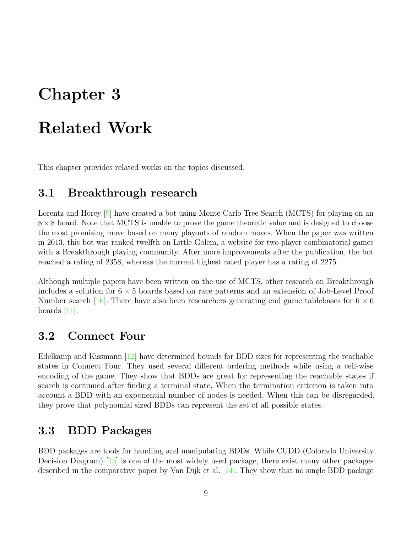# <span id="page-11-0"></span>Related Work

<span id="page-11-1"></span>This chapter provides related works on the topics discussed.

#### 3.1 Breakthrough research

Lorentz and Horey <sup>[\[9\]](#page-20-9)</sup> have created a bot using Monte Carlo Tree Search (MCTS) for playing on an  $8 \times 8$  board. Note that MCTS is unable to prove the game theoretic value and is designed to choose the most promising move based on many playouts of random moves. When the paper was written in 2013, this bot was ranked twelfth on Little Golem, a website for two-player combinatorial games with a Breakthrough playing community. After more improvements after the publication, the bot reached a rating of 2358, whereas the current highest rated player has a rating of 2275.

Although multiple papers have been written on the use of MCTS, other research on Breakthrough includes a solution for  $6 \times 5$  boards based on race patterns and an extension of Job-Level Proof Number search [\[10\]](#page-20-10). There have also been researchers generating end game tablebases for  $6 \times 6$ boards  $[11]$ .

#### <span id="page-11-2"></span>3.2 Connect Four

Edelkamp and Kissmann [\[12\]](#page-20-12) have determined bounds for BDD sizes for representing the reachable states in Connect Four. They used several different ordering methods while using a cell-wise encoding of the game. They show that BDDs are great for representing the reachable states if search is continued after finding a terminal state. When the termination criterion is taken into account a BDD with an exponential number of nodes is needed. When this can be disregarded, they prove that polynomial sized BDDs can represent the set of all possible states.

#### <span id="page-11-3"></span>3.3 BDD Packages

BDD packages are tools for handling and manipulating BDDs. While CUDD (Colorado University Decision Diagram) [\[13\]](#page-21-0) is one of the most widely used package, there exist many other packages described in the comparative paper by Van Dijk et al. [\[14\]](#page-21-1). They show that no single BDD package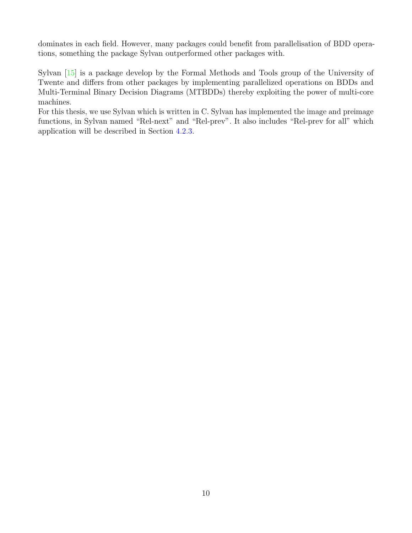dominates in each field. However, many packages could benefit from parallelisation of BDD operations, something the package Sylvan outperformed other packages with.

Sylvan [\[15\]](#page-21-2) is a package develop by the Formal Methods and Tools group of the University of Twente and differs from other packages by implementing parallelized operations on BDDs and Multi-Terminal Binary Decision Diagrams (MTBDDs) thereby exploiting the power of multi-core machines.

For this thesis, we use Sylvan which is written in C. Sylvan has implemented the image and preimage functions, in Sylvan named "Rel-next" and "Rel-prev". It also includes "Rel-prev for all" which application will be described in Section [4.2.3.](#page-15-1)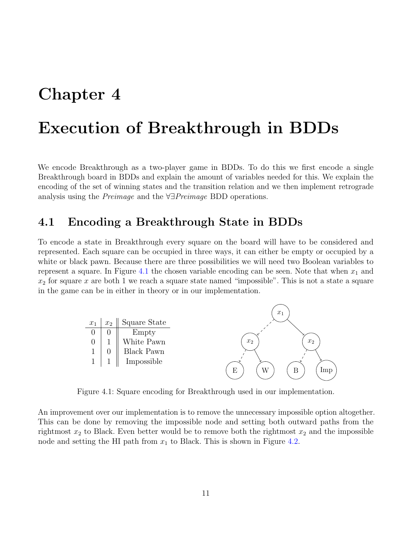### <span id="page-13-0"></span>Execution of Breakthrough in BDDs

We encode Breakthrough as a two-player game in BDDs. To do this we first encode a single Breakthrough board in BDDs and explain the amount of variables needed for this. We explain the encoding of the set of winning states and the transition relation and we then implement retrograde analysis using the Preimage and the ∀∃Preimage BDD operations.

#### <span id="page-13-1"></span>4.1 Encoding a Breakthrough State in BDDs

To encode a state in Breakthrough every square on the board will have to be considered and represented. Each square can be occupied in three ways, it can either be empty or occupied by a white or black pawn. Because there are three possibilities we will need two Boolean variables to represent a square. In Figure [4.1](#page-13-2) the chosen variable encoding can be seen. Note that when  $x_1$  and  $x_2$  for square x are both 1 we reach a square state named "impossible". This is not a state a square in the game can be in either in theory or in our implementation.

<span id="page-13-2"></span>

Figure 4.1: Square encoding for Breakthrough used in our implementation.

An improvement over our implementation is to remove the unnecessary impossible option altogether. This can be done by removing the impossible node and setting both outward paths from the rightmost  $x_2$  to Black. Even better would be to remove both the rightmost  $x_2$  and the impossible node and setting the HI path from  $x_1$  to Black. This is shown in Figure [4.2.](#page-14-2)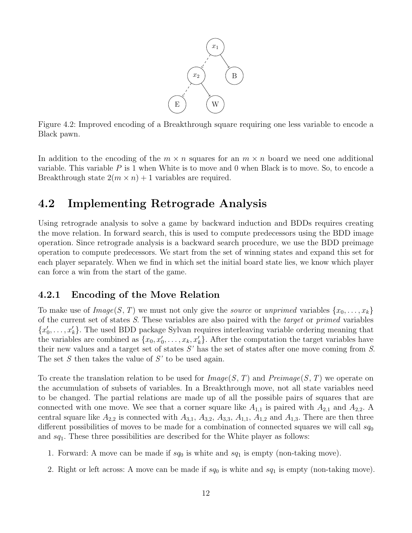

<span id="page-14-2"></span>Figure 4.2: Improved encoding of a Breakthrough square requiring one less variable to encode a Black pawn.

In addition to the encoding of the  $m \times n$  squares for an  $m \times n$  board we need one additional variable. This variable  $P$  is 1 when White is to move and 0 when Black is to move. So, to encode a Breakthrough state  $2(m \times n) + 1$  variables are required.

#### <span id="page-14-0"></span>4.2 Implementing Retrograde Analysis

Using retrograde analysis to solve a game by backward induction and BDDs requires creating the move relation. In forward search, this is used to compute predecessors using the BDD image operation. Since retrograde analysis is a backward search procedure, we use the BDD preimage operation to compute predecessors. We start from the set of winning states and expand this set for each player separately. When we find in which set the initial board state lies, we know which player can force a win from the start of the game.

#### <span id="page-14-1"></span>4.2.1 Encoding of the Move Relation

To make use of  $Image(S, T)$  we must not only give the source or unprimed variables  $\{x_0, \ldots, x_k\}$ of the current set of states S. These variables are also paired with the target or primed variables  ${x'_0, \ldots, x'_k}$ . The used BDD package Sylvan requires interleaving variable ordering meaning that the variables are combined as  $\{x_0, x'_0, \ldots, x_k, x'_k\}$ . After the computation the target variables have their new values and a target set of states  $S'$  has the set of states after one move coming from  $S$ . The set S then takes the value of  $S'$  to be used again.

To create the translation relation to be used for  $Image(S, T)$  and  $Preimage(S, T)$  we operate on the accumulation of subsets of variables. In a Breakthrough move, not all state variables need to be changed. The partial relations are made up of all the possible pairs of squares that are connected with one move. We see that a corner square like  $A_{1,1}$  is paired with  $A_{2,1}$  and  $A_{2,2}$ . A central square like  $A_{2,2}$  is connected with  $A_{3,1}$ ,  $A_{3,2}$ ,  $A_{3,3}$ ,  $A_{1,1}$ ,  $A_{1,2}$  and  $A_{1,3}$ . There are then three different possibilities of moves to be made for a combination of connected squares we will call  $sq_0$ and  $sq_1$ . These three possibilities are described for the White player as follows:

- 1. Forward: A move can be made if  $sq_0$  is white and  $sq_1$  is empty (non-taking move).
- 2. Right or left across: A move can be made if  $sq_0$  is white and  $sq_1$  is empty (non-taking move).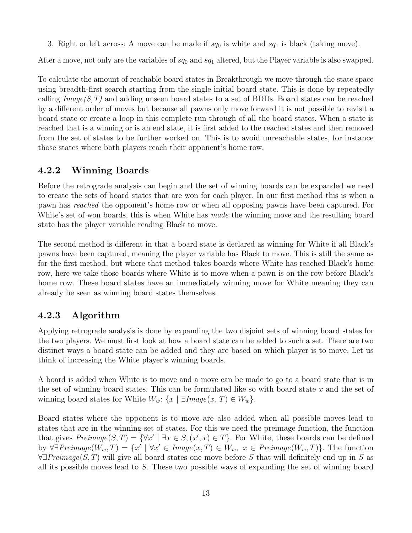3. Right or left across: A move can be made if  $sq_0$  is white and  $sq_1$  is black (taking move).

After a move, not only are the variables of  $sq_0$  and  $sq_1$  altered, but the Player variable is also swapped.

To calculate the amount of reachable board states in Breakthrough we move through the state space using breadth-first search starting from the single initial board state. This is done by repeatedly calling  $Image(S, T)$  and adding unseen board states to a set of BDDs. Board states can be reached by a different order of moves but because all pawns only move forward it is not possible to revisit a board state or create a loop in this complete run through of all the board states. When a state is reached that is a winning or is an end state, it is first added to the reached states and then removed from the set of states to be further worked on. This is to avoid unreachable states, for instance those states where both players reach their opponent's home row.

#### <span id="page-15-0"></span>4.2.2 Winning Boards

Before the retrograde analysis can begin and the set of winning boards can be expanded we need to create the sets of board states that are won for each player. In our first method this is when a pawn has reached the opponent's home row or when all opposing pawns have been captured. For White's set of won boards, this is when White has *made* the winning move and the resulting board state has the player variable reading Black to move.

The second method is different in that a board state is declared as winning for White if all Black's pawns have been captured, meaning the player variable has Black to move. This is still the same as for the first method, but where that method takes boards where White has reached Black's home row, here we take those boards where White is to move when a pawn is on the row before Black's home row. These board states have an immediately winning move for White meaning they can already be seen as winning board states themselves.

#### <span id="page-15-1"></span>4.2.3 Algorithm

Applying retrograde analysis is done by expanding the two disjoint sets of winning board states for the two players. We must first look at how a board state can be added to such a set. There are two distinct ways a board state can be added and they are based on which player is to move. Let us think of increasing the White player's winning boards.

A board is added when White is to move and a move can be made to go to a board state that is in the set of winning board states. This can be formulated like so with board state  $x$  and the set of winning board states for White  $W_w$ : { $x | \exists Image(x, T) \in W_w$  }.

Board states where the opponent is to move are also added when all possible moves lead to states that are in the winning set of states. For this we need the preimage function, the function that gives  $Preimage(S, T) = {\forall x' \mid \exists x \in S, (x', x) \in T}.$  For White, these boards can be defined by  $\forall \exists Preimage(W_w, T) = \{x' \mid \forall x' \in Image(x, T) \in W_w, x \in Preimage(W_w, T)\}.$  The function  $\forall \exists Preimage(S, T)$  will give all board states one move before S that will definitely end up in S as all its possible moves lead to S. These two possible ways of expanding the set of winning board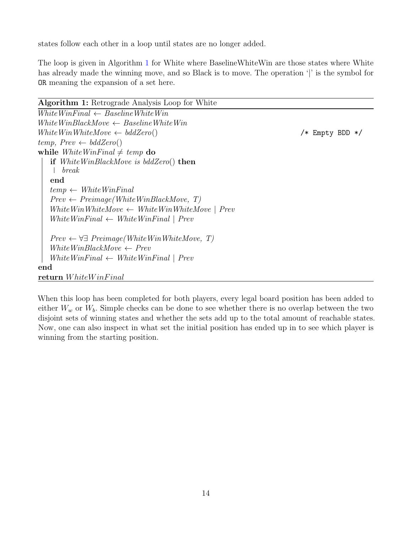states follow each other in a loop until states are no longer added.

The loop is given in Algorithm [1](#page-16-0) for White where BaselineWhiteWin are those states where White has already made the winning move, and so Black is to move. The operation '|' is the symbol for OR meaning the expansion of a set here.

| Algorithm 1: Retrograde Analysis Loop for White |
|-------------------------------------------------|
|-------------------------------------------------|

```
WhiteWinFinal \leftarrow BaselineWhiteWinWhiteWinBlackMove \leftarrow BaselineWhiteWinWhiteWinWhiteMove ← bddZero() /* Empty BDD */
temp, Prev \leftarrow bddZero()while WhiteWinFinal \neq temp do
   if WhiteWinBlackMove is bddZero() then
    break
   end
   temp \leftarrow WhiteWinFinalPrev \leftarrow Preimage(WhiteWinBlackMove, T)WhiteWinWhiteMove \leftarrow WhiteWinWhiteMove \mid \text{Prev}WhiteWinFinal \leftarrow WhiteWinFinal \mid prevPrev \leftarrow \forall \exists \; Preimage(WhiteWinWhiteMove, T)WhiteWinBlackMove \leftarrow Prev
   WhiteWinFinal \leftarrow WhiteWinFinal \mid prevend
return WhiteWinFinal
```
When this loop has been completed for both players, every legal board position has been added to either  $W_w$  or  $W_b$ . Simple checks can be done to see whether there is no overlap between the two disjoint sets of winning states and whether the sets add up to the total amount of reachable states. Now, one can also inspect in what set the initial position has ended up in to see which player is winning from the starting position.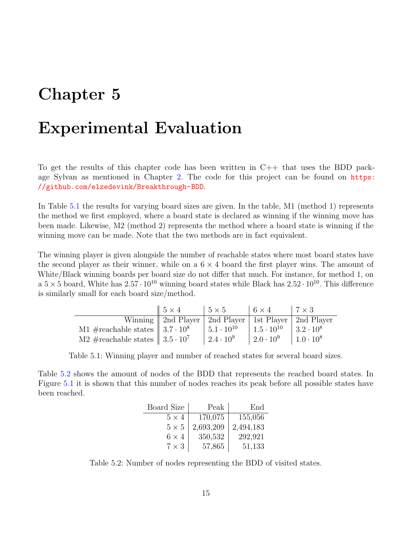### <span id="page-17-0"></span>Experimental Evaluation

To get the results of this chapter code has been written in  $C++$  that uses the BDD package Sylvan as mentioned in Chapter [2.](#page-5-0) The code for this project can be found on [https:](https://github.com/elzedevink/Breakthrough-BDD) [//github.com/elzedevink/Breakthrough-BDD](https://github.com/elzedevink/Breakthrough-BDD).

In Table [5.1](#page-17-1) the results for varying board sizes are given. In the table, M1 (method 1) represents the method we first employed, where a board state is declared as winning if the winning move has been made. Likewise, M2 (method 2) represents the method where a board state is winning if the winning move can be made. Note that the two methods are in fact equivalent.

The winning player is given alongside the number of reachable states where most board states have the second player as their winner, while on a  $6 \times 4$  board the first player wins. The amount of White/Black winning boards per board size do not differ that much. For instance, for method 1, on a  $5 \times 5$  board, White has  $2.57 \cdot 10^{10}$  winning board states while Black has  $2.52 \cdot 10^{10}$ . This difference is similarly small for each board size/method.

<span id="page-17-1"></span>

|                                                 | $\parallel 5 \times 4$                                      | $15 \times 5$         | $6 \times 4$               | $17 \times 3$    |
|-------------------------------------------------|-------------------------------------------------------------|-----------------------|----------------------------|------------------|
|                                                 | Winning   2nd Player   2nd Player   1st Player   2nd Player |                       |                            |                  |
| M1 #reachable states $\parallel 3.7 \cdot 10^8$ |                                                             | $ 5.1 \cdot 10^{10} $ | $1.5 \cdot 10^{10}$        | $3.2 \cdot 10^8$ |
| M2 #reachable states $\parallel 3.5 \cdot 10^7$ |                                                             | $2.4 \cdot 10^{9}$    | $\mid 2.0 \cdot 10^9 \mid$ | $1.0 \cdot 10^8$ |

Table 5.1: Winning player and number of reached states for several board sizes.

<span id="page-17-2"></span>Table [5.2](#page-17-2) shows the amount of nodes of the BDD that represents the reached board states. In Figure [5.1](#page-18-0) it is shown that this number of nodes reaches its peak before all possible states have been reached.

| Board Size   | Peak      | End       |
|--------------|-----------|-----------|
| $5 \times 4$ | 170,075   | 155,056   |
| $5 \times 5$ | 2,693,209 | 2,494,183 |
| $6 \times 4$ | 350,532   | 292,921   |
| $7 \times 3$ | 57,865    | 51,133    |

Table 5.2: Number of nodes representing the BDD of visited states.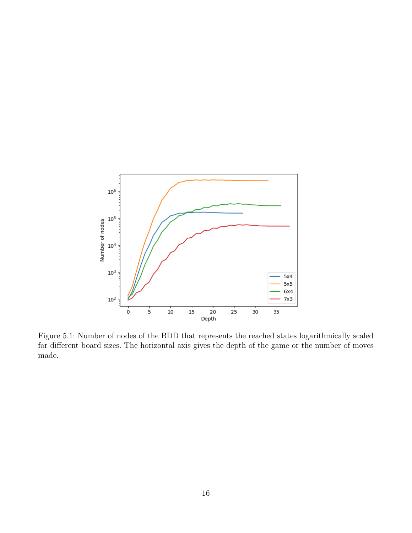<span id="page-18-0"></span>

Figure 5.1: Number of nodes of the BDD that represents the reached states logarithmically scaled for different board sizes. The horizontal axis gives the depth of the game or the number of moves made.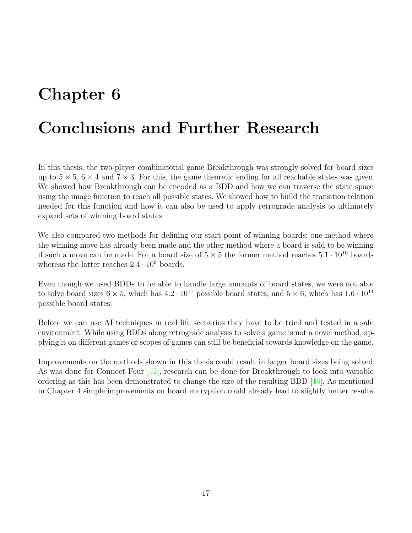## <span id="page-19-0"></span>Conclusions and Further Research

In this thesis, the two-player combinatorial game Breakthrough was strongly solved for board sizes up to  $5 \times 5$ ,  $6 \times 4$  and  $7 \times 3$ . For this, the game theoretic ending for all reachable states was given. We showed how Breakthrough can be encoded as a BDD and how we can traverse the state space using the image function to reach all possible states. We showed how to build the transition relation needed for this function and how it can also be used to apply retrograde analysis to ultimately expand sets of winning board states.

We also compared two methods for defining our start point of winning boards: one method where the winning move has already been made and the other method where a board is said to be winning if such a move can be made. For a board size of  $5 \times 5$  the former method reaches  $5.1 \cdot 10^{10}$  boards whereas the latter reaches  $2.4 \cdot 10^9$  boards.

Even though we used BDDs to be able to handle large amounts of board states, we were not able to solve board sizes  $6 \times 5$ , which has  $4.2 \cdot 10^{11}$  possible board states, and  $5 \times 6$ , which has  $1.6 \cdot 10^{11}$ possible board states.

Before we can use AI techniques in real life scenarios they have to be tried and tested in a safe environment. While using BDDs along retrograde analysis to solve a game is not a novel method, applying it on different games or scopes of games can still be beneficial towards knowledge on the game.

Improvements on the methods shown in this thesis could result in larger board sizes being solved. As was done for Connect-Four  $[12]$ , research can be done for Breakthrough to look into variable ordering as this has been demonstrated to change the size of the resulting BDD [\[16\]](#page-21-3). As mentioned in Chapter [4](#page-13-0) simple improvements on board encryption could already lead to slightly better results.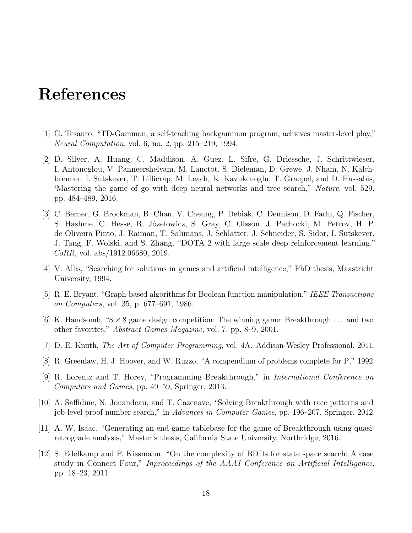### <span id="page-20-0"></span>References

- <span id="page-20-1"></span>[1] G. Tesauro, "TD-Gammon, a self-teaching backgammon program, achieves master-level play," Neural Computation, vol. 6, no. 2, pp. 215–219, 1994.
- <span id="page-20-2"></span>[2] D. Silver, A. Huang, C. Maddison, A. Guez, L. Sifre, G. Driessche, J. Schrittwieser, I. Antonoglou, V. Panneershelvam, M. Lanctot, S. Dieleman, D. Grewe, J. Nham, N. Kalchbrenner, I. Sutskever, T. Lillicrap, M. Leach, K. Kavukcuoglu, T. Graepel, and D. Hassabis, "Mastering the game of go with deep neural networks and tree search," Nature, vol. 529, pp. 484–489, 2016.
- <span id="page-20-3"></span>[3] C. Berner, G. Brockman, B. Chan, V. Cheung, P. Debiak, C. Dennison, D. Farhi, Q. Fischer, S. Hashme, C. Hesse, R. Józefowicz, S. Gray, C. Olsson, J. Pachocki, M. Petrov, H. P. de Oliveira Pinto, J. Raiman, T. Salimans, J. Schlatter, J. Schneider, S. Sidor, I. Sutskever, J. Tang, F. Wolski, and S. Zhang, "DOTA 2 with large scale deep reinforcement learning," CoRR, vol. abs/1912.06680, 2019.
- <span id="page-20-4"></span>[4] V. Allis, "Searching for solutions in games and artificial intelligence," PhD thesis, Maastricht University, 1994.
- <span id="page-20-5"></span>[5] R. E. Bryant, "Graph-based algorithms for Boolean function manipulation," IEEE Transactions on Computers, vol. 35, p. 677–691, 1986.
- <span id="page-20-6"></span>[6] K. Handsomb, " $8 \times 8$  game design competition: The winning game: Breakthrough ... and two other favorites," Abstract Games Magazine, vol. 7, pp. 8–9, 2001.
- <span id="page-20-7"></span>[7] D. E. Knuth, The Art of Computer Programming, vol. 4A. Addison-Wesley Professional, 2011.
- <span id="page-20-8"></span>[8] R. Greenlaw, H. J. Hoover, and W. Ruzzo, "A compendium of problems complete for P," 1992.
- <span id="page-20-9"></span>[9] R. Lorentz and T. Horey, "Programming Breakthrough," in International Conference on Computers and Games, pp. 49–59, Springer, 2013.
- <span id="page-20-10"></span>[10] A. Saffidine, N. Jouandeau, and T. Cazenave, "Solving Breakthrough with race patterns and job-level proof number search," in Advances in Computer Games, pp. 196–207, Springer, 2012.
- <span id="page-20-11"></span>[11] A. W. Isaac, "Generating an end game tablebase for the game of Breakthrough using quasiretrograde analysis," Master's thesis, California State University, Northridge, 2016.
- <span id="page-20-12"></span>[12] S. Edelkamp and P. Kissmann, "On the complexity of BDDs for state space search: A case study in Connect Four," Inproceedings of the AAAI Conference on Artificial Intelligence, pp. 18–23, 2011.